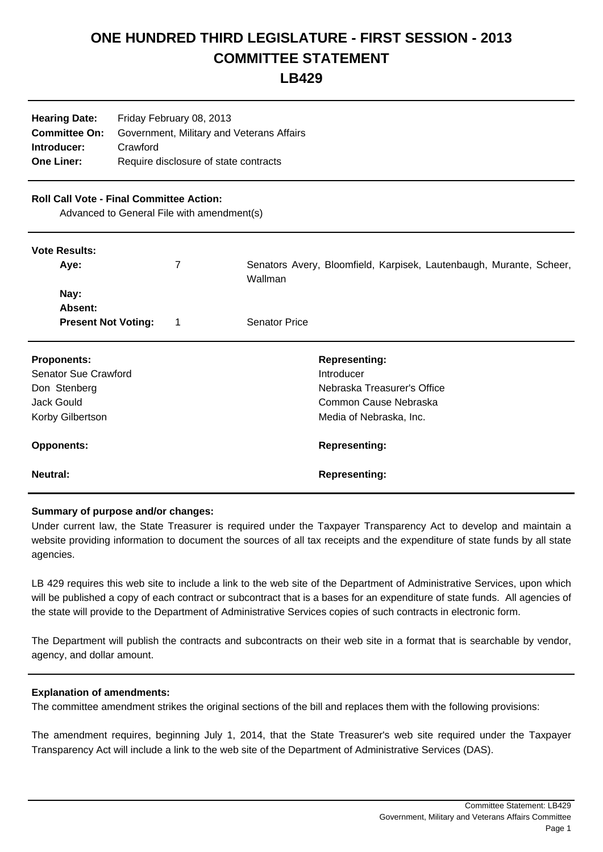# **ONE HUNDRED THIRD LEGISLATURE - FIRST SESSION - 2013 COMMITTEE STATEMENT**

## **LB429**

| <b>Hearing Date:</b><br>Friday February 08, 2013 |  |  |
|--------------------------------------------------|--|--|
| Government, Military and Veterans Affairs        |  |  |
| Crawford                                         |  |  |
| Require disclosure of state contracts            |  |  |
|                                                  |  |  |

### **Roll Call Vote - Final Committee Action:**

Advanced to General File with amendment(s)

#### **Vote Results:**

| Ave:                       | Senators Avery, Bloomfield, Karpisek, Lautenbaugh, Murante, Scheer,<br>Wallman |
|----------------------------|--------------------------------------------------------------------------------|
|                            |                                                                                |
| Nay:                       |                                                                                |
| <b>Absent:</b>             |                                                                                |
| <b>Present Not Voting:</b> | <b>Senator Price</b>                                                           |
|                            |                                                                                |

| <b>Proponents:</b>   | <b>Representing:</b>        |
|----------------------|-----------------------------|
| Senator Sue Crawford | Introducer                  |
| Don Stenberg         | Nebraska Treasurer's Office |
| Jack Gould           | Common Cause Nebraska       |
| Korby Gilbertson     | Media of Nebraska, Inc.     |
| <b>Opponents:</b>    | <b>Representing:</b>        |
| Neutral:             | <b>Representing:</b>        |

#### **Summary of purpose and/or changes:**

Under current law, the State Treasurer is required under the Taxpayer Transparency Act to develop and maintain a website providing information to document the sources of all tax receipts and the expenditure of state funds by all state agencies.

LB 429 requires this web site to include a link to the web site of the Department of Administrative Services, upon which will be published a copy of each contract or subcontract that is a bases for an expenditure of state funds. All agencies of the state will provide to the Department of Administrative Services copies of such contracts in electronic form.

The Department will publish the contracts and subcontracts on their web site in a format that is searchable by vendor, agency, and dollar amount.

#### **Explanation of amendments:**

The committee amendment strikes the original sections of the bill and replaces them with the following provisions:

The amendment requires, beginning July 1, 2014, that the State Treasurer's web site required under the Taxpayer Transparency Act will include a link to the web site of the Department of Administrative Services (DAS).